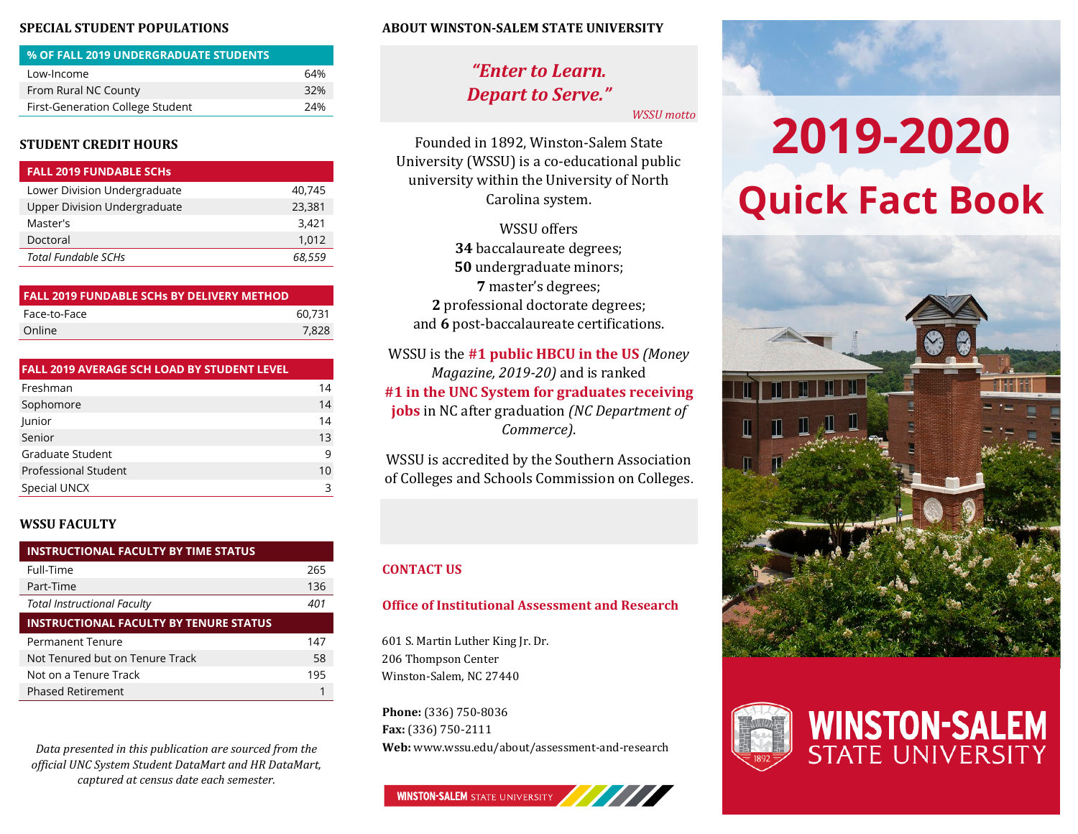### **SPECIAL STUDENT POPULATIONS**

| % OF FALL 2019 UNDERGRADUATE STUDENTS |     |
|---------------------------------------|-----|
| Low-Income                            | 64% |
| From Rural NC County                  | 32% |
| First-Generation College Student      | 24% |

### **STUDENT CREDIT HOURS**

| <b>FALL 2019 FUNDABLE SCHS</b>      |        |
|-------------------------------------|--------|
| Lower Division Undergraduate        | 40.745 |
| <b>Upper Division Undergraduate</b> | 23,381 |
| Master's                            | 3.421  |
| Doctoral                            | 1.012  |
| <b>Total Fundable SCHs</b>          | 68,559 |

| <b>FALL 2019 FUNDABLE SCHs BY DELIVERY METHOD</b> |        |
|---------------------------------------------------|--------|
| Face-to-Face                                      | 60.731 |
| Online                                            | 7.828  |
|                                                   |        |

| <b>FALL 2019 AVERAGE SCH LOAD BY STUDENT LEVEL</b> |    |
|----------------------------------------------------|----|
| Freshman                                           | 14 |
| Sophomore                                          | 14 |
| Junior                                             | 14 |
| Senior                                             | 13 |
| Graduate Student                                   | 9  |
| <b>Professional Student</b>                        | 10 |
| Special UNCX                                       | 3  |

### **WSSU FACULTY**

| <b>INSTRUCTIONAL FACULTY BY TIME STATUS</b>   |     |  |  |
|-----------------------------------------------|-----|--|--|
| Full-Time                                     | 265 |  |  |
| Part-Time                                     | 136 |  |  |
| <b>Total Instructional Faculty</b>            | 401 |  |  |
| <b>INSTRUCTIONAL FACULTY BY TENURE STATUS</b> |     |  |  |
| <b>Permanent Tenure</b>                       | 147 |  |  |
| Not Tenured but on Tenure Track               | 58  |  |  |
| Not on a Tenure Track                         | 195 |  |  |
| <b>Phased Retirement</b>                      |     |  |  |

*Data presented in this publication are sourced from the official UNC System Student DataMart and HR DataMart, captured at census date each semester.*

### **ABOUT WINSTON-SALEM STATE UNIVERSITY**

## *"Enter to Learn. Depart to Serve."*

*WSSU motto*

Founded in 1892, Winston-Salem State University (WSSU) is a co-educational public university within the University of North Carolina system.

WSSU offers baccalaureate degrees; undergraduate minors; master's degrees; professional doctorate degrees; and **6** post-baccalaureate certifications.

WSSU is the **#1 public HBCU in the US** *(Money Magazine, 2019-20)* and is ranked **#1 in the UNC System for graduates receiving jobs** in NC after graduation *(NC Department of Commerce)*.

WSSU is accredited by the Southern Association of Colleges and Schools Commission on Colleges.

### **CONTACT US**

### **Office of Institutional Assessment and Research**

601 S. Martin Luther King Jr. Dr. 206 Thompson Center Winston-Salem, NC 27440

**Phone:** (336) 750-8036 **Fax:** (336) 750-2111 **Web:** www.wssu.edu/about/assessment-and-research

### **WINSTON-SALEM STATE UNIVERSITY**

# **2019-2020 Quick Fact Book**



**WINSTON-SALEM**<br>STATE UNIVERSITY